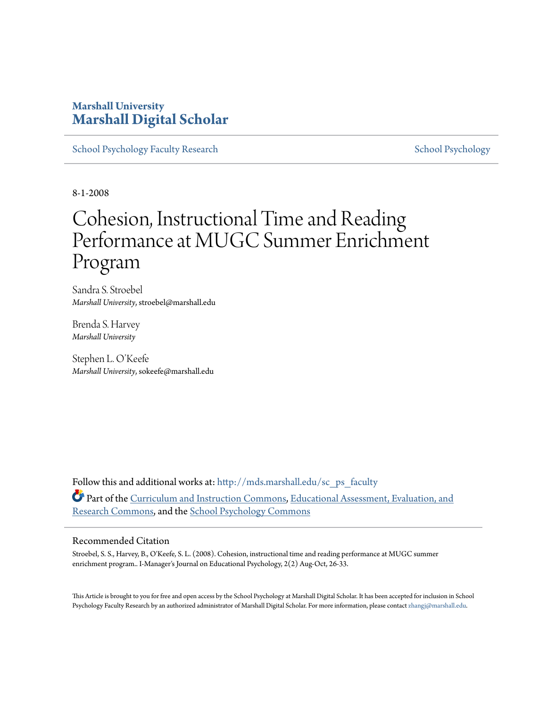### **Marshall University [Marshall Digital Scholar](http://mds.marshall.edu?utm_source=mds.marshall.edu%2Fsc_ps_faculty%2F3&utm_medium=PDF&utm_campaign=PDFCoverPages)**

[School Psychology Faculty Research](http://mds.marshall.edu/sc_ps_faculty?utm_source=mds.marshall.edu%2Fsc_ps_faculty%2F3&utm_medium=PDF&utm_campaign=PDFCoverPages) [School Psychology](http://mds.marshall.edu/sc_ps?utm_source=mds.marshall.edu%2Fsc_ps_faculty%2F3&utm_medium=PDF&utm_campaign=PDFCoverPages) School Psychology

8-1-2008

## Cohesion, Instructional Time and Reading Performance at MUGC Summer Enrichment Program

Sandra S. Stroebel *Marshall University*, stroebel@marshall.edu

Brenda S. Harvey *Marshall University*

Stephen L. O'Keefe *Marshall University*, sokeefe@marshall.edu

Follow this and additional works at: [http://mds.marshall.edu/sc\\_ps\\_faculty](http://mds.marshall.edu/sc_ps_faculty?utm_source=mds.marshall.edu%2Fsc_ps_faculty%2F3&utm_medium=PDF&utm_campaign=PDFCoverPages) Part of the [Curriculum and Instruction Commons](http://network.bepress.com/hgg/discipline/786?utm_source=mds.marshall.edu%2Fsc_ps_faculty%2F3&utm_medium=PDF&utm_campaign=PDFCoverPages), [Educational Assessment, Evaluation, and](http://network.bepress.com/hgg/discipline/796?utm_source=mds.marshall.edu%2Fsc_ps_faculty%2F3&utm_medium=PDF&utm_campaign=PDFCoverPages) [Research Commons,](http://network.bepress.com/hgg/discipline/796?utm_source=mds.marshall.edu%2Fsc_ps_faculty%2F3&utm_medium=PDF&utm_campaign=PDFCoverPages) and the [School Psychology Commons](http://network.bepress.com/hgg/discipline/1072?utm_source=mds.marshall.edu%2Fsc_ps_faculty%2F3&utm_medium=PDF&utm_campaign=PDFCoverPages)

### Recommended Citation

Stroebel, S. S., Harvey, B., O'Keefe, S. L. (2008). Cohesion, instructional time and reading performance at MUGC summer enrichment program.. I-Manager's Journal on Educational Psychology, 2(2) Aug-Oct, 26-33.

This Article is brought to you for free and open access by the School Psychology at Marshall Digital Scholar. It has been accepted for inclusion in School Psychology Faculty Research by an authorized administrator of Marshall Digital Scholar. For more information, please contact [zhangj@marshall.edu.](mailto:zhangj@marshall.edu)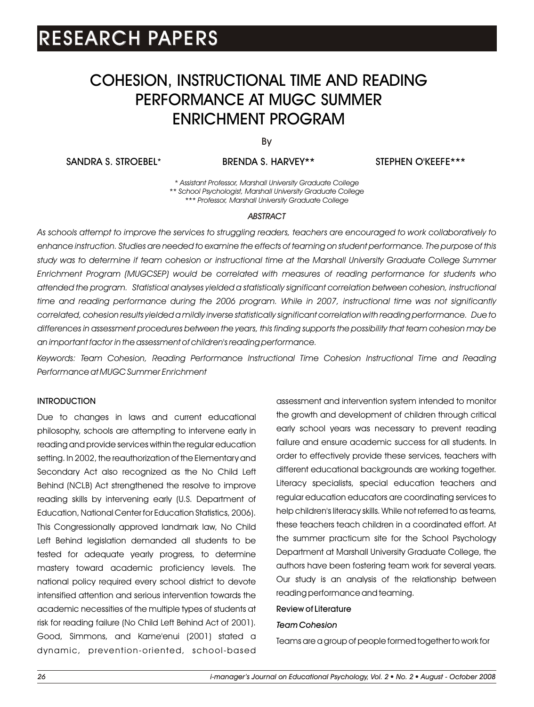### COHESION, INSTRUCTIONAL TIME AND READING PERFORMANCE AT MUGC SUMMER ENRICHMENT PROGRAM

By

SANDRA S. STROEBEL\*

BRENDA S. HARVEY\*\* STEPHEN O'KEEFE\*\*\*

*\* Assistant Professor, Marshall University Graduate College \*\* School Psychologist, Marshall University Graduate College \*\*\* Professor, Marshall University Graduate College*

#### *ABSTRACT*

*As schools attempt to improve the services to struggling readers, teachers are encouraged to work collaboratively to enhance instruction. Studies are needed to examine the effects of teaming on student performance. The purpose of this*  study was to determine if team cohesion or instructional time at the Marshall University Graduate College Summer *Enrichment Program (MUGCSEP) would be correlated with measures of reading performance for students who attended the program. Statistical analyses yielded a statistically significant correlation between cohesion, instructional time and reading performance during the 2006 program. While in 2007, instructional time was not significantly correlated, cohesion results yielded a mildly inverse statistically significant correlation with reading performance. Due to differences in assessment procedures between the years, this finding supports the possibility that team cohesion may be an important factor in the assessment of children's reading performance.*

*Keywords: Team Cohesion, Reading Performance Instructional Time Cohesion Instructional Time and Reading Performance at MUGC Summer Enrichment*

#### INTRODUCTION

Due to changes in laws and current educational philosophy, schools are attempting to intervene early in reading and provide services within the regular education setting. In 2002, the reauthorization of the Elementary and Secondary Act also recognized as the No Child Left Behind (NCLB) Act strengthened the resolve to improve reading skills by intervening early (U.S. Department of Education, National Center for Education Statistics, 2006). This Congressionally approved landmark law, No Child Left Behind legislation demanded all students to be tested for adequate yearly progress, to determine mastery toward academic proficiency levels. The national policy required every school district to devote intensified attention and serious intervention towards the academic necessities of the multiple types of students at risk for reading failure (No Child Left Behind Act of 2001). Good, Simmons, and Kame'enui (2001) stated a dynamic, prevention-oriented, school-based assessment and intervention system intended to monitor the growth and development of children through critical early school years was necessary to prevent reading failure and ensure academic success for all students. In order to effectively provide these services, teachers with different educational backgrounds are working together. Literacy specialists, special education teachers and regular education educators are coordinating services to help children's literacy skills. While not referred to as teams, these teachers teach children in a coordinated effort. At the summer practicum site for the School Psychology Department at Marshall University Graduate College, the authors have been fostering team work for several years. Our study is an analysis of the relationship between reading performance and teaming.

### Review of Literature

#### *Team Cohesion*

Teams are a group of people formed together to work for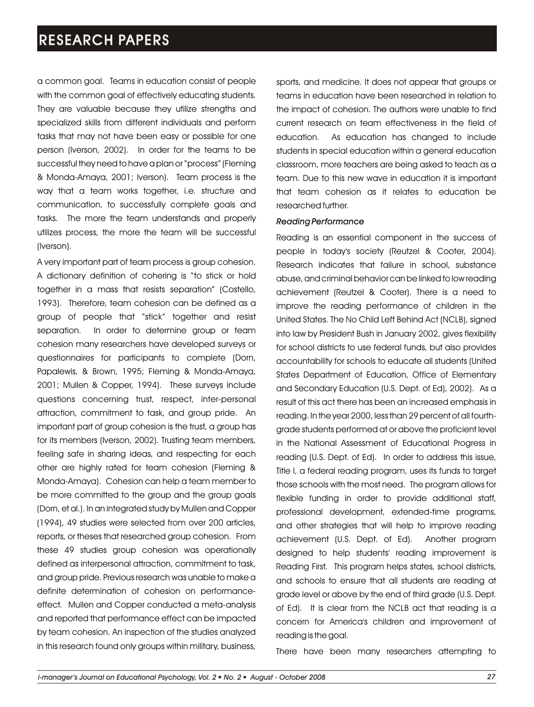a common goal. Teams in education consist of people with the common goal of effectively educating students. They are valuable because they utilize strengths and specialized skills from different individuals and perform tasks that may not have been easy or possible for one person (Iverson, 2002). In order for the teams to be successful they need to have a plan or "process" (Fleming & Monda-Amaya, 2001; Iverson). Team process is the way that a team works together, i.e. structure and communication, to successfully complete goals and tasks. The more the team understands and properly utilizes process, the more the team will be successful (Iverson).

A very important part of team process is group cohesion. A dictionary definition of cohering is "to stick or hold together in a mass that resists separation" (Costello, 1993). Therefore, team cohesion can be defined as a group of people that "stick" together and resist separation. In order to determine group or team cohesion many researchers have developed surveys or questionnaires for participants to complete (Dorn, Papalewis, & Brown, 1995; Fleming & Monda-Amaya, 2001; Mullen & Copper, 1994). These surveys include questions concerning trust, respect, inter-personal attraction, commitment to task, and group pride. An important part of group cohesion is the trust, a group has for its members (Iverson, 2002). Trusting team members, feeling safe in sharing ideas, and respecting for each other are highly rated for team cohesion (Fleming & Monda-Amaya). Cohesion can help a team member to be more committed to the group and the group goals (Dorn, et al.). In an integrated study by Mullen and Copper (1994), 49 studies were selected from over 200 articles, reports, or theses that researched group cohesion. From these 49 studies group cohesion was operationally defined as interpersonal attraction, commitment to task, and group pride. Previous research was unable to make a definite determination of cohesion on performanceeffect. Mullen and Copper conducted a meta-analysis and reported that performance effect can be impacted by team cohesion. An inspection of the studies analyzed in this research found only groups within military, business,

sports, and medicine. It does not appear that groups or teams in education have been researched in relation to the impact of cohesion. The authors were unable to find current research on team effectiveness in the field of education. As education has changed to include students in special education within a general education classroom, more teachers are being asked to teach as a team. Due to this new wave in education it is important that team cohesion as it relates to education be researched further.

#### *Reading Performance*

Reading is an essential component in the success of people in today's society (Reutzel & Cooter, 2004). Research indicates that failure in school, substance abuse, and criminal behavior can be linked to low reading achievement (Reutzel & Cooter). There is a need to improve the reading performance of children in the United States. The No Child Left Behind Act (NCLB), signed into law by President Bush in January 2002, gives flexibility for school districts to use federal funds, but also provides accountability for schools to educate all students (United States Department of Education, Office of Elementary and Secondary Education (U.S. Dept. of Ed), 2002). As a result of this act there has been an increased emphasis in reading. In the year 2000, less than 29 percent of all fourthgrade students performed at or above the proficient level in the National Assessment of Educational Progress in reading (U.S. Dept. of Ed). In order to address this issue, Title I, a federal reading program, uses its funds to target those schools with the most need. The program allows for flexible funding in order to provide additional staff, professional development, extended-time programs, and other strategies that will help to improve reading achievement (U.S. Dept. of Ed). Another program designed to help students' reading improvement is Reading First. This program helps states, school districts, and schools to ensure that all students are reading at grade level or above by the end of third grade (U.S. Dept. of Ed). It is clear from the NCLB act that reading is a concern for America's children and improvement of reading is the goal.

There have been many researchers attempting to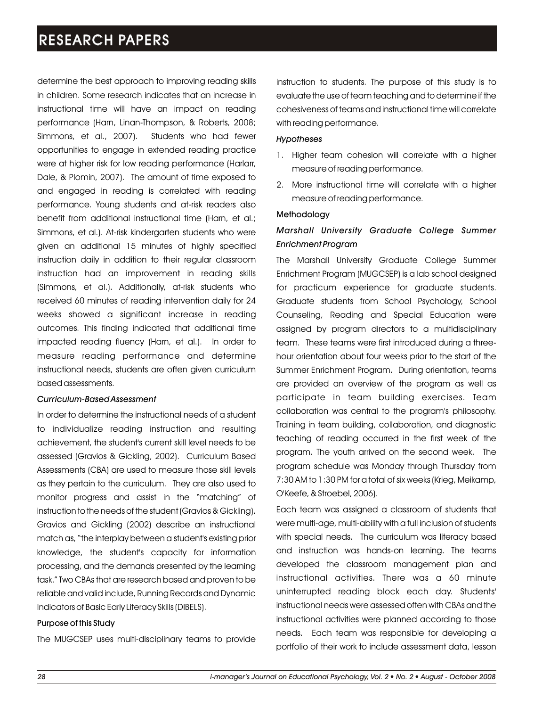determine the best approach to improving reading skills in children. Some research indicates that an increase in instructional time will have an impact on reading performance (Harn, Linan-Thompson, & Roberts, 2008; Simmons, et al., 2007). Students who had fewer opportunities to engage in extended reading practice were at higher risk for low reading performance (Harlarr, Dale, & Plomin, 2007). The amount of time exposed to and engaged in reading is correlated with reading performance. Young students and at-risk readers also benefit from additional instructional time (Harn, et al.; Simmons, et al.). At-risk kindergarten students who were given an additional 15 minutes of highly specified instruction daily in addition to their regular classroom instruction had an improvement in reading skills (Simmons, et al.). Additionally, at-risk students who received 60 minutes of reading intervention daily for 24 weeks showed a significant increase in reading outcomes. This finding indicated that additional time impacted reading fluency (Harn, et al.). In order to measure reading performance and determine instructional needs, students are often given curriculum based assessments.

### *Curriculum-Based Assessment*

In order to determine the instructional needs of a student to individualize reading instruction and resulting achievement, the student's current skill level needs to be assessed (Gravios & Gickling, 2002). Curriculum Based Assessments (CBA) are used to measure those skill levels as they pertain to the curriculum. They are also used to monitor progress and assist in the "matching" of instruction to the needs of the student (Gravios & Gickling). Gravios and Gickling (2002) describe an instructional match as, "the interplay between a student's existing prior knowledge, the student's capacity for information processing, and the demands presented by the learning task." Two CBAs that are research based and proven to be reliable and valid include, Running Records and Dynamic Indicators of Basic Early Literacy Skills (DIBELS).

### Purpose of this Study

The MUGCSEP uses multi-disciplinary teams to provide

instruction to students. The purpose of this study is to evaluate the use of team teaching and to determine if the cohesiveness of teams and instructional time will correlate with reading performance.

### *Hypotheses*

- 1. Higher team cohesion will correlate with a higher measure of reading performance.
- 2. More instructional time will correlate with a higher measure of reading performance.

### Methodology

### *Marshall University Graduate College Summer Enrichment Program*

The Marshall University Graduate College Summer Enrichment Program (MUGCSEP) is a lab school designed for practicum experience for graduate students. Graduate students from School Psychology, School Counseling, Reading and Special Education were assigned by program directors to a multidisciplinary team. These teams were first introduced during a threehour orientation about four weeks prior to the start of the Summer Enrichment Program. During orientation, teams are provided an overview of the program as well as participate in team building exercises. Team collaboration was central to the program's philosophy. Training in team building, collaboration, and diagnostic teaching of reading occurred in the first week of the program. The youth arrived on the second week. The program schedule was Monday through Thursday from 7:30 AM to 1:30 PM for a total of six weeks (Krieg, Meikamp, O'Keefe, & Stroebel, 2006).

Each team was assigned a classroom of students that were multi-age, multi-ability with a full inclusion of students with special needs. The curriculum was literacy based and instruction was hands-on learning. The teams developed the classroom management plan and instructional activities. There was a 60 minute uninterrupted reading block each day. Students' instructional needs were assessed often with CBAs and the instructional activities were planned according to those needs. Each team was responsible for developing a portfolio of their work to include assessment data, lesson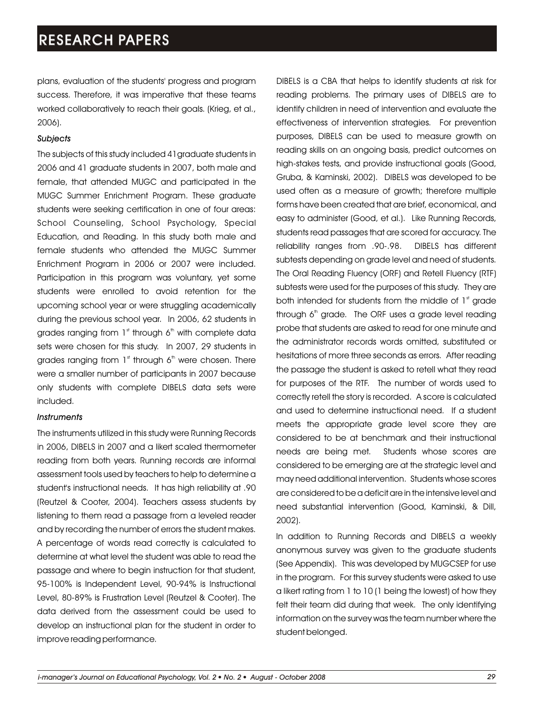plans, evaluation of the students' progress and program success. Therefore, it was imperative that these teams worked collaboratively to reach their goals. (Krieg, et al., 2006).

### *Subjects*

The subjects of this study included 41graduate students in 2006 and 41 graduate students in 2007, both male and female, that attended MUGC and participated in the MUGC Summer Enrichment Program. These graduate students were seeking certification in one of four areas: School Counseling, School Psychology, Special Education, and Reading. In this study both male and female students who attended the MUGC Summer Enrichment Program in 2006 or 2007 were included. Participation in this program was voluntary, yet some students were enrolled to avoid retention for the upcoming school year or were struggling academically during the previous school year. In 2006, 62 students in grades ranging from  $1<sup>st</sup>$  through 6<sup>th</sup> with complete data sets were chosen for this study. In 2007, 29 students in grades ranging from  $1<sup>st</sup>$  through 6<sup>th</sup> were chosen. There were a smaller number of participants in 2007 because only students with complete DIBELS data sets were included.

### *Instruments*

The instruments utilized in this study were Running Records in 2006, DIBELS in 2007 and a likert scaled thermometer reading from both years. Running records are informal assessment tools used by teachers to help to determine a student's instructional needs. It has high reliability at .90 (Reutzel & Cooter, 2004). Teachers assess students by listening to them read a passage from a leveled reader and by recording the number of errors the student makes. A percentage of words read correctly is calculated to determine at what level the student was able to read the passage and where to begin instruction for that student, 95-100% is Independent Level, 90-94% is Instructional Level, 80-89% is Frustration Level (Reutzel & Cooter). The data derived from the assessment could be used to develop an instructional plan for the student in order to improve reading performance.

DIBELS is a CBA that helps to identify students at risk for reading problems. The primary uses of DIBELS are to identify children in need of intervention and evaluate the effectiveness of intervention strategies. For prevention purposes, DIBELS can be used to measure growth on reading skills on an ongoing basis, predict outcomes on high-stakes tests, and provide instructional goals (Good, Gruba, & Kaminski, 2002). DIBELS was developed to be used often as a measure of growth; therefore multiple forms have been created that are brief, economical, and easy to administer (Good, et al.). Like Running Records, students read passages that are scored for accuracy. The reliability ranges from .90-.98. DIBELS has different subtests depending on grade level and need of students. The Oral Reading Fluency (ORF) and Retell Fluency (RTF) subtests were used for the purposes of this study. They are both intended for students from the middle of  $1<sup>st</sup>$  grade through  $6<sup>th</sup>$  grade. The ORF uses a grade level reading probe that students are asked to read for one minute and the administrator records words omitted, substituted or hesitations of more three seconds as errors. After reading the passage the student is asked to retell what they read for purposes of the RTF. The number of words used to correctly retell the story is recorded. A score is calculated and used to determine instructional need. If a student meets the appropriate grade level score they are considered to be at benchmark and their instructional needs are being met. Students whose scores are considered to be emerging are at the strategic level and may need additional intervention. Students whose scores are considered to be a deficit are in the intensive level and need substantial intervention (Good, Kaminski, & Dill, 2002).

In addition to Running Records and DIBELS a weekly anonymous survey was given to the graduate students (See Appendix). This was developed by MUGCSEP for use in the program. For this survey students were asked to use a likert rating from 1 to 10 (1 being the lowest) of how they felt their team did during that week. The only identifying information on the survey was the team number where the student belonged.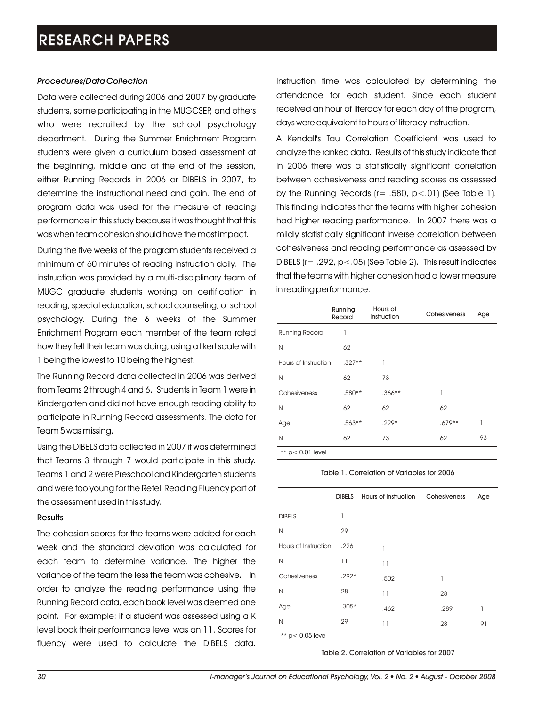#### *Procedures/Data Collection*

Data were collected during 2006 and 2007 by graduate students, some participating in the MUGCSEP, and others who were recruited by the school psychology department. During the Summer Enrichment Program students were given a curriculum based assessment at the beginning, middle and at the end of the session, either Running Records in 2006 or DIBELS in 2007, to determine the instructional need and gain. The end of program data was used for the measure of reading performance in this study because it was thought that this was when team cohesion should have the most impact.

During the five weeks of the program students received a minimum of 60 minutes of reading instruction daily. The instruction was provided by a multi-disciplinary team of MUGC graduate students working on certification in reading, special education, school counseling, or school psychology. During the 6 weeks of the Summer Enrichment Program each member of the team rated how they felt their team was doing, using a likert scale with 1 being the lowest to 10 being the highest.

The Running Record data collected in 2006 was derived from Teams 2 through 4 and 6. Students in Team 1 were in Kindergarten and did not have enough reading ability to participate in Running Record assessments. The data for Team 5 was missing.

Using the DIBELS data collected in 2007 it was determined that Teams 3 through 7 would participate in this study. Teams 1 and 2 were Preschool and Kindergarten students and were too young for the Retell Reading Fluency part of the assessment used in this study.

### **Results**

The cohesion scores for the teams were added for each week and the standard deviation was calculated for each team to determine variance. The higher the variance of the team the less the team was cohesive. In order to analyze the reading performance using the Running Record data, each book level was deemed one point. For example: if a student was assessed using a K level book their performance level was an 11. Scores for fluency were used to calculate the DIBELS data.

Instruction time was calculated by determining the attendance for each student. Since each student received an hour of literacy for each day of the program, days were equivalent to hours of literacy instruction.

A Kendall's Tau Correlation Coefficient was used to analyze the ranked data. Results of this study indicate that in 2006 there was a statistically significant correlation between cohesiveness and reading scores as assessed by the Running Records  $(r= .580, p< .01)$  (See Table 1). This finding indicates that the teams with higher cohesion had higher reading performance. In 2007 there was a mildly statistically significant inverse correlation between cohesiveness and reading performance as assessed by DIBELS (r= .292, p<.05) (See Table 2). This result indicates that the teams with higher cohesion had a lower measure in reading performance.

| Running<br>Record                | Hours of<br>Instruction | Cohesiveness | Age |
|----------------------------------|-------------------------|--------------|-----|
| 1                                |                         |              |     |
| 62                               |                         |              |     |
| Hours of Instruction<br>$.327**$ | 1                       |              |     |
| 62                               | 73                      |              |     |
| .580**                           | $.366***$               | 1            |     |
| 62                               | 62                      | 62           |     |
| $.563**$                         | $.229*$                 | $.679**$     | 1   |
| 62                               | 73                      | 62           | 93  |
|                                  |                         |              |     |

 $**$  p< 0.01 level

#### Table 1. Correlation of Variables for 2006

|                      | <b>DIBELS</b> | Hours of Instruction | Cohesiveness | Age |
|----------------------|---------------|----------------------|--------------|-----|
| <b>DIBELS</b>        | 1             |                      |              |     |
| N                    | 29            |                      |              |     |
| Hours of Instruction | .226          | 1                    |              |     |
| N                    | 11            | 11                   |              |     |
| Cohesiveness         | $.292*$       | .502                 | 1            |     |
| N                    | 28            | 11                   | 28           |     |
| Age                  | $.305*$       | .462                 | .289         | 1   |
| N                    | 29            | 11                   | 28           | 91  |
| ** $p$ < 0.05 level  |               |                      |              |     |

Table 2. Correlation of Variables for 2007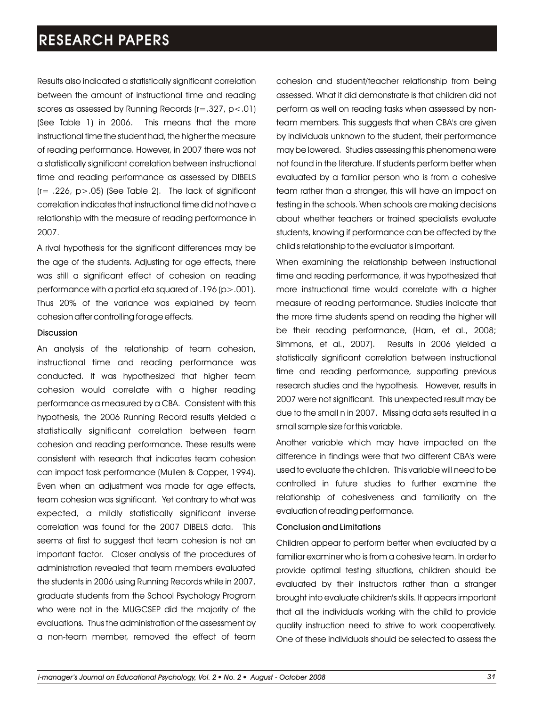Results also indicated a statistically significant correlation between the amount of instructional time and reading scores as assessed by Running Records (r=.327, p<.01) (See Table 1) in 2006. This means that the more instructional time the student had, the higher the measure of reading performance. However, in 2007 there was not a statistically significant correlation between instructional time and reading performance as assessed by DIBELS  $(r= .226, p> .05)$  (See Table 2). The lack of significant correlation indicates that instructional time did not have a relationship with the measure of reading performance in 2007.

A rival hypothesis for the significant differences may be the age of the students. Adjusting for age effects, there was still a significant effect of cohesion on reading performance with a partial eta squared of .196 (p>.001). Thus 20% of the variance was explained by team cohesion after controlling for age effects.

#### **Discussion**

An analysis of the relationship of team cohesion, instructional time and reading performance was conducted. It was hypothesized that higher team cohesion would correlate with a higher reading performance as measured by a CBA. Consistent with this hypothesis, the 2006 Running Record results yielded a statistically significant correlation between team cohesion and reading performance. These results were consistent with research that indicates team cohesion can impact task performance (Mullen & Copper, 1994). Even when an adjustment was made for age effects, team cohesion was significant. Yet contrary to what was expected, a mildly statistically significant inverse correlation was found for the 2007 DIBELS data. This seems at first to suggest that team cohesion is not an important factor. Closer analysis of the procedures of administration revealed that team members evaluated the students in 2006 using Running Records while in 2007, graduate students from the School Psychology Program who were not in the MUGCSEP did the majority of the evaluations. Thus the administration of the assessment by a non-team member, removed the effect of team

cohesion and student/teacher relationship from being assessed. What it did demonstrate is that children did not perform as well on reading tasks when assessed by nonteam members. This suggests that when CBA's are given by individuals unknown to the student, their performance may be lowered. Studies assessing this phenomena were not found in the literature. If students perform better when evaluated by a familiar person who is from a cohesive team rather than a stranger, this will have an impact on testing in the schools. When schools are making decisions about whether teachers or trained specialists evaluate students, knowing if performance can be affected by the child's relationship to the evaluator is important.

When examining the relationship between instructional time and reading performance, it was hypothesized that more instructional time would correlate with a higher measure of reading performance. Studies indicate that the more time students spend on reading the higher will be their reading performance, (Harn, et al., 2008; Simmons, et al., 2007). Results in 2006 yielded a statistically significant correlation between instructional time and reading performance, supporting previous research studies and the hypothesis. However, results in 2007 were not significant. This unexpected result may be due to the small n in 2007. Missing data sets resulted in a small sample size for this variable.

Another variable which may have impacted on the difference in findings were that two different CBA's were used to evaluate the children. This variable will need to be controlled in future studies to further examine the relationship of cohesiveness and familiarity on the evaluation of reading performance.

### Conclusion and Limitations

Children appear to perform better when evaluated by a familiar examiner who is from a cohesive team. In order to provide optimal testing situations, children should be evaluated by their instructors rather than a stranger brought into evaluate children's skills. It appears important that all the individuals working with the child to provide quality instruction need to strive to work cooperatively. One of these individuals should be selected to assess the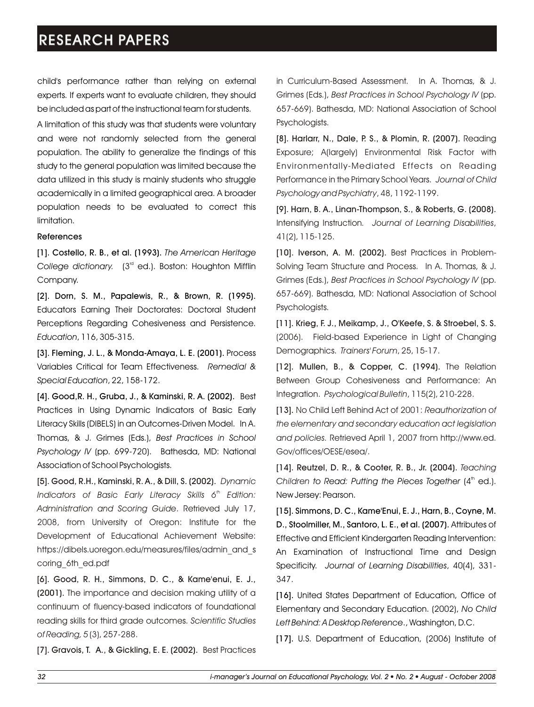child's performance rather than relying on external experts. If experts want to evaluate children, they should be included as part of the instructional team for students.

A limitation of this study was that students were voluntary and were not randomly selected from the general population. The ability to generalize the findings of this study to the general population was limited because the data utilized in this study is mainly students who struggle academically in a limited geographical area. A broader population needs to be evaluated to correct this limitation.

#### References

[1]. Costello, R. B., et al. (1993). *The American Heritage*  College dictionary. (3<sup>rd</sup> ed.). Boston: Houghton Mifflin Company.

[2]. Dorn, S. M., Papalewis, R., & Brown, R. (1995). Educators Earning Their Doctorates: Doctoral Student Perceptions Regarding Cohesiveness and Persistence. *Education*, 116, 305-315.

[3]. Fleming, J. L., & Monda-Amaya, L. E. (2001). Process Variables Critical for Team Effectiveness. *Remedial & Special Education*, 22, 158-172.

[4]. Good,R. H., Gruba, J., & Kaminski, R. A. (2002). Best Practices in Using Dynamic Indicators of Basic Early Literacy Skills (DIBELS) in an Outcomes-Driven Model. In A. Thomas, & J. Grimes (Eds.), *Best Practices in School Psychology IV* (pp. 699-720). Bathesda, MD: National Association of School Psychologists.

[5]. Good, R.H., Kaminski, R. A., & Dill, S. (2002). *Dynamic Indicators of Basic Early Literacy Skills 6<sup>th</sup> Edition: Administration and Scoring Guide*. Retrieved July 17, 2008, from University of Oregon: Institute for the Development of Educational Achievement Website: https://dibels.uoregon.edu/measures/files/admin\_and\_s coring\_6th\_ed.pdf

[6]. Good, R. H., Simmons, D. C., & Kame'enui, E. J., (2001). The importance and decision making utility of a continuum of fluency-based indicators of foundational reading skills for third grade outcomes. *Scientific Studies of Reading, 5* (3), 257-288.

[7]. Gravois, T. A., & Gickling, E. E. (2002). Best Practices

in Curriculum-Based Assessment. In A. Thomas, & J. Grimes (Eds.), *Best Practices in School Psychology IV* (pp. 657-669). Bathesda, MD: National Association of School Psychologists.

[8]. Harlarr, N., Dale, P. S., & Plomin, R. (2007). Reading Exposure; A(largely) Environmental Risk Factor with Environmentally-Mediated Effects on Reading Performance in the Primary School Years. *Journal of Child Psychology and Psychiatry*, 48, 1192-1199.

[9]. Harn, B. A., Linan-Thompson, S., & Roberts, G. (2008). Intensifying Instruction*. Journal of Learning Disabilities*, 41(2), 115-125.

[10]. Iverson, A. M. (2002). Best Practices in Problem-Solving Team Structure and Process. In A. Thomas, & J. Grimes (Eds.), *Best Practices in School Psychology IV* (pp. 657-669). Bathesda, MD: National Association of School Psychologists.

[11]. Krieg, F. J., Meikamp, J., O'Keefe, S. & Stroebel, S. S. (2006). Field-based Experience in Light of Changing Demographics. *Trainers' Forum*, 25, 15-17.

[12]. Mullen, B., & Copper, C. (1994). The Relation Between Group Cohesiveness and Performance: An Integration. *Psychological Bulletin*, 115(2), 210-228.

[13]. No Child Left Behind Act of 2001: *Reauthorization of the elementary and secondary education act legislation and policies.* Retrieved April 1, 2007 from http://www.ed. Gov/offices/OESE/esea/.

[14]. Reutzel, D. R., & Cooter, R. B., Jr. (2004). *Teaching Children to Read: Putting the Pieces Together* (4<sup>th</sup> ed.). New Jersey: Pearson.

[15]. Simmons, D. C., Kame'Enui, E. J., Harn, B., Coyne, M. D., Stoolmiller, M., Santoro, L. E., et al. (2007). Attributes of Effective and Efficient Kindergarten Reading Intervention: An Examination of Instructional Time and Design Specificity. *Journal of Learning Disabilities*, 40(4), 331- 347.

[16]. United States Department of Education, Office of Elementary and Secondary Education. (2002), *No Child Left Behind: A Desktop Reference*., Washington, D.C.

[17]. U.S. Department of Education, (2006) Institute of